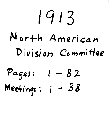# I q 1 3 **/1 /41 or++** *American*  **Di vi** *si* **on Co** *m* **m;** *Hee*  Pages: 1 - 82

*S*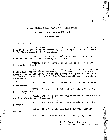## FIRST MEETING EXECUTIVE COMMITTEE NORTH

#### AMERICAN DIVISION CONFERENCE

#### \*\*\*\*\*\*\*\*\*

P R E S E N T:

I. H. Evans, 0. A. Olsen, C. W. Flaiz, G, F. Watson, W. B. White, Charles Thompson, M. N. Campbell, E. E. Andross, C. B. Stephenson, B. G. Wilkinson.

The question of the full organization of the Division Conference was considered, and it was

VOTED, That we have a secretary of the Religious Liberty Department.

VOTED, That if consistent, the nominating committee select the corresponding secretary of the General Conference as Sabbath-school secretary of the North American Division, leaving the Executive Committee of the North American Division to solect an assistant.

• VOTED, That we have a secretary of the Educational Department.

VOTED, That we establish and maintain a Young People's Department.

VOTED, That we establish and maintain a'North American Division Foreign Department.

VOTED, That we establish and maintain a Negro Department.

partment, VOTED, That we establish and maintain a Medical De-

VOTED, That we maintain a Publishing Department.

I. H. Evans, Chairman, B. G. Wilkinson, Sec. pro tem.

I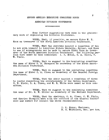## SECOND MEETING EXECUTIVE COMMITTEE NORTH

#### AMERICAN DIVISION CONFERENCE

#### \*\*\*\*\*\*\*\*\*\*\*

Some further suggestions were made in the preliminary work of organizing the Division Conference.

VOTED, That, if possible, we secure Elder W. T. Knox as treasurer of the North American Division Conference.

VOTED, That the chairman appoint a committee of two to act with himself to interview Elders Daniells, Spicer, and Knox to see if arrangements can be made to secure Elder Knox as treasurer of the North American Division Conference. The following persons wore named as this committee: I. H. Evans, 0. A. Olsen, C. 'W. Flaiz.

VOTED, That we suggest to the nominating committee the name of Elder G. B. Thompson as secretary of the North American Division Conference.

VOTED, That we suggest to the nominating committee the name of Elder O. A. Olsen as secretary of the General Foreign Department.

VOTED, That the chair appoint a committee of three to confer respecting the secretaryship of the German Department. C. W. Flaiz, O. A. Olsen, and W. B. White were named as this committee.

VOTED, That we suggest to the nominating committee the name of Dr. H. W. Miller as secretary of the Medical Department.

VOTED, That the chairman, 0. A. Olsen, C. W. Flaiz, and Charles Thompson meet with the officers of the General Conference and submit for counsel the above recommendations.

> I. H. Evans, Chairman, B. G. Wilkinson, Sec. pro tem.

2

 $\label{eq:1} \begin{split} \mathcal{L}_{\text{in}}(\mathcal{L}_{\text{in}}) = \mathcal{L}_{\text{out}}(\mathcal{L}_{\text{in}}) \end{split}$ 

 $\begin{array}{c} \star \\ \star \\ \star \end{array}$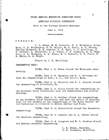## THIRD\_ MEETING EXECUTIVE COMMITTEE NORTH

#### AMERICAN DIVISION CONFERENCE

#### Held in the Foreign Mission Seminary

## June 4, 1913

\*\*\*\*\*\*\*\*\*\*

## PRESEN T:

I. H. Evans, W. W. Prescott, B. G. Wilkinson, Allen Moon, C. B. Stephenson, H. W. Miller, V% A. Ruble, Watson, Charles Thompson, E. E. Andross, H. S. Shaw, J. H. Schilling, G. F. Haffner, L. Christian, O. A. Olsen, C. S. Longacre, M. N, Campbell, G. B. Thompson, L. M. Bowen, E. T.- Russell, C, W. Flaiz, W. B. White, S. E. Wight.

Prayer by J. H. Schilling.

CAMPMEETING HELP:

meeting. ' VOTED, That I. H. Evans attend the Wisconsin camp-

,VOTED, That G. B. Thompson and F. H. DeVinney attend the campmeetings at Rome, N. Y., and Lowell, Mass.

VOTED, That A. 0, Danielle and W. C. Hankins attend the campmeeting at Allentown, Pa.

VOTED, That O. A, Olson attend the campmeetings in the Northern Union Conference; also the Saskatchewan and Alberta meetings.

VOTED, That G. F. Haffner attend the campmeetings in the Northern Union Conference, and that the matter of securing help for the Germans in the campmeetings of the North Pacific Union Conference be referred to Elders Haffner and Flaiz.

VOTED, That C. I,. Butterfield attend the Minnesota campmeeting.

VOTED,, ThatE. T. Russell and G. A. Grauer attend the Manitoba campmeeting.

VOTED, That C. S. Longacre and W. C. Hankins attend the Eastern Canadian campmeeting.

I. H. Evans, Chairman,

G. B. Thompson, Secretary.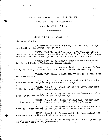## FOURTH MEETING EXECUTIVE COMMITTEE, NORTH

4

#### AMERICAN DIVISION CONFERENCE

June 4, 1913 - 7 P. M.

\*\*\*\*\*\*\*\*\*

Prayer by I. H. Evans.

CAMPMEETING HELP:

The matter of selecting help for the campmeetings was further considered, and it was

VOTED, That W. A. Spicer and L. V. Finster attend the first four campmeetings in the North Pacific Union Conference, and the first two meetings in the Pacific Union Conference.

VOTED, That I. H. Evans attend the Southern California and Western Washington campmeetings.

VOTED, That J. S. James attend the Iowa, South Dakota, Missouri, Nebraska, and Northern Illinois campmecting.

VOTED, That Charles Thompson attend the North Michigan oampmeeting.

VOTED, That G. B. Thompson attend the Columbia,Union Conference campmeetings to be held in August,

VOTED, That I. H. Evans attend the Iowa) Northern Illinois, and Indiana oampmeetings.

VOTED, That  $\overline{\mathbf{W}}$ . A. Spicer attend the Southern Illinois, East, and West Michigan campmeetings.

VOTED, That Doctor Miller attend the campmeetings in the Lake Union Conference which will be held in August.

VOTED, That 0. Montgomery and C. B. Stephenson attend the campmeetings in the Southeastern Union Conference.

VOTED, That F. M. Wilcox and W. T. Knox attend the campmeetings in the Central Union Conference.

VOTED, That H. R. Salisbury attend the, campmeetings in the Southern Union Conference.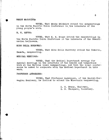## MEADE MACGUIRE.

VOTED, That Meade MacGuire attend the campmeetings in the North Pacific Union Conference in the interests of the young people's work.

M. S. REPPE:

VOTED, That M. S. Roppe attend the campmeetings in the North Pacific Union Conference in the interests of the Scandinavian believers.

MISS DELLA BURROWAY:

VOTED, That Miss Della Burroway attend the Ontario, Canada, campmeeting.

MEDICAL MEETINGS:

VOTED, That the Medical Department arrange for special meetings in the interests of the health and temperance work at the various local campmectings, and that the local conferences be asked to cooperate with the Medical Department in this work.

PROFESSOR ANDREASEN:

VOTED, That Professor Andreasen, of the Danish-Norwegian Seminary, be invited to attend the Wisconsin campmeeting.

I. H. Evans, Chairman,

G. B. Thompson, Secretary.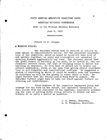#### FIFTH MEETING'EXECUTIVE COMMITTEE NORTH

## AMERICAN DIVISION CONFERENCE

## Held in the Foreign Mission Seminary

## Juno 5, 1913

\*\*\*\*\*\*\*\*\*\*

#### Prayer by F. Griggs.

## *A,* WORKING POLICY:

,, •

The chairman stated that he desired to outline to some extent an administrative policy, for the prayerful consideration of the committee, which he hoped we could all take hold of and operate together; as unity and cooperation are essential in carrying forward aggressively any work. The chairman stated that the great factor in building up our work, as he viewed it, was not financial matters alone, but that *of* bringing souls to Christ and building up churches. Ho felt that we should try to double our present membership, while at the same time giving proper consideration to all financial and institutional problems. He suggested a system of reporting by which it could be readily soen the increase in believers as well as the growth in other lines of work. He urged further that the Twenty-cent-a-week Fund be pushed. The urged further that the Twenty-cent-a-week Fund be pushed. chairman further urged that we take our stand against further increasing our indebtedness.

Other members of the committee expressed faith and courage for the work in the future, and expressed themselves in full accord with the statement of the chairman, especially concerning the plan of putting forth strong efforts to double our membership at as early a period as, possible.

> I. H. Evans, Chairman, G. B. Thompson, Secretary.

6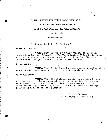# SIXTH MEETING EXECUTIVE COMMITTEE NORTH

## AMERICAN DIVISION CONFERENCE

#### Held in the Foreign Mission Seminary

## June 6, 1913

\*\*\*\*\*\*\*\*\*\*\*\*

## Prayer by Elder E. T. Russell.

#### ELDER H, HANSON:

VOTED1 That we agree to the transfer of Elder H. Hanson from Donver, Colorado to the North Pacific Union Conference, with tho understanding that the Central and North Pacific Union Conferences arrange for the expenses of his transfer.

L. M. BOWEN:

VOTED, That L. M. Bowen be appointed as a member of the Financial Commission and that his duties begin June 1, 1913.

#### AN ACCOUNTANT:

VOTED; That the chairman appoint two others to act with himself to make recommendation to the Committee for a competent accountant to work in the office of the treasurer of the North American Division. C. W. Flaiz and E. E. Andress were appointed as members of this committee.

> I. H. Evans, Chairman, G. B. Thompson, Secretary.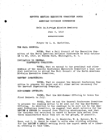# SEVENTH MEETING EXECUTIVE COMMITTEE NORTH

#### **11** AMERICAN DIVISION CONFERENCE

#### Held in Foreign Mission Seminary

#### June 8, 1913

#### \*\*\*\*\*\*\*\*\*\*\*\*

## Prayer by L. H. Christian,

#### THE FALL COUNCIL:

VOTED, That a Fall Council of the Executive Committee of the North American Division Conference be held October la to 22, 1913, at Takoma Park, Washington, D. C.

## INVITATION TO GENERAL CONFERENCE COMMITTEE:

VOTED; That we extend to the president and other members of the General Conference Executive Committee a most cordial invitation to attend the Fall Council of the North American Division Executive Committee.

#### 'HARVEST INGATEERING:

VOTED, That we request the General Conference Committee, to prepare the paper and all other matter necessary for the Harvest Ingathering Campaign,

#### MID-SUMMER OFFERING:

VOTED, That the Mid-Summer Offering be taken the first Sabbath in July.

VOTED, That we ask the General Conference Committee to prepare the reading matter to be sent out for the Mid-Summer Offering. In addition to the readings to be sent out by the General Conferonce Committee, we suggest that short articles for the REVIEW & HERALD be secured from visiting missionaries, and that the chairman and secrotary be asked to secure this matter from these missionaries while they are on the ground, if possible.

VOTED, That A. G• Daniells, W. A. Spicer, W. T. Knox, and I. H. Evans be asked to write some stirring articles for the REVIEW & HERALD setting forth the urgent needs of a liberal offering at this time.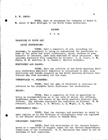## R. W. LEACH:

VOTED, That we recommend the transfer of Elder R. W. Leach of East Michigan to the North Texas Conference.

## RECESS

# 6 P.M.

VACANCIES IN UNION AND

LOCAL CONFERENCES:

 $\sqrt{V}$ VOTED, That a committee of six, including the  $\sqrt{V}$ chairman, be appointed to bring in nominations for presidents in some of the union and local conferences, which, because of some transfer of laborers, have been deprived of their president. The chairman announced this committee as follows:  $0.$  A. Olsen, C. W. Flaiz, E. E: Andress, E. T. RUssell, Charles Thompson.

STATIONERY AND BLANKS:

VOTED, That the officors of the North American Division Conference Executive Committoe be authorized to have such stationery and blanks prepared as the North American Division Conference may find necessary for its work.

CREDENTIALS -0. SORENSEN:

VOTED, That the name of Professor C. Sorensen be referred to the Columbia Union Conference for credentials.

SALARY:

VOTED, That a committee of five be appointed to bring in recommendations as to the rate of salary for officers, department heads, and others of the North American Division Conference. The chairman announced the committee as follows: W. W. Prescott, Allen Moon, G. P. Watson, S. E. Wight, H. S. Shaw,

#### STENOGRAPHIC HELP:

VOTED, That the chairman and secretary be asked to make inquiry as to the division of stenographic help now employed in the General Conference office at Takoma Park,

#### DEPARTMENT COMMITTEE:-

VOTED, That the secretaries of the various Departments be a committee to suggest names for the various Departmental Committees of the Conference. H. R. Salisbury was asked to act as chairman of this committee,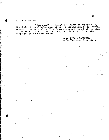# HOME DEPARTMENT:

 $\bullet$ 

VOTED, That a committee of three be appointed by the chair, himself being one, to give consideration to the organization of the work of the Home Department, and report at the time of the Fall Council. The chairman, secretary, and 0. A. Olsen were appointed as this committee.

> I. H. Evans, Chairman', G. B. Thompson, Secretary.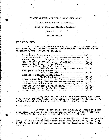# EIGHTH MEETING EXECUTIVE COMMITTEE NORTH

# AMERICAN DIVISION CONFERENCE

Held in Foreign Mission Seminary

## June 9, 1913

\*\*\*\*\*\*\*\*\*\*\*

# RATE OF SALARY:

The committee on salary of officers, departmental secretaries, and others, rendered their report, which after some amendments, was adopted as follows:

| President, I. H. Evans, -----------------------     | \$22.50 |
|-----------------------------------------------------|---------|
| Vice-president, O. A. Olsen, ------------------     | 21.50   |
| Secretary, G. B. Thompson, ---------------------    | 21.50   |
| Educational Secretary, H. R. Salisbury, -------     | 20.00   |
| Medical Secretary, H. W. Miller, --------------     | 20.00   |
| Secretary Young People's Department,                |         |
| Matilda Erickson, ---------------                   | 15,00   |
| Religious Liberty Secretary,                        |         |
| 0. S. Longacre, ---------------                     | 20,00   |
| Secretary Publishing Department,                    |         |
| W. W. Eastman, -------------------                  | 20.00   |
| German Department, G. F. Haffner, -----------       | 20.00   |
| J. H. Schilling, adapted to the contract the series | 20.00   |
| Scandinavian Department, L. H. Christian, -----     | 20.00   |
| Swedish Department, S. Mortenson, -------------     | 20.00   |
| Negro Department, C. B. Stephenson, -----------     | 20.00   |
| Accountant, H. H. Cobban, ---------------------     | 18.00   |

VOTED, That the salary of the treasurer, and secretary of the Sabbath-school Department, be arranged by the officers of the General and North American Dividion Conferences.

R. D. QUINN:

In view of the fact that Elder R. D. Quinn does not feel clear to accept the call to the presidency of the Southeastern Union Conferênce on account of his health, it was

VOTED, That we invite Elder Quinn to take the presidency of the Atlantic Union Conference made vacant by the call of Elder W. B. White to the presidency of the South African Union Conference.

 $11$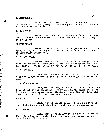## 0. MONTGOMERY:

VOTED, That we invite the Indiana Conference to release Elder 0. Montgomery to take the presidency of the Southeastern Union Conference,

R. C. PORTER:

VOTED, That Elder R. C. Porter be asked to attend the California and Southern California campmeetings on his way to the Orient.

EUGENE LELAND:

VOTED, That we invite Elder Eugene Leland of Michigan, and J. P. Anderson to attend the campmectings in the Mouth-Wetstern Union Conference.

P. B. ARNITAGE:

VOTED, That we invite Elder F. B. Armitage to attend the Wisconsin, North Dakota, and Montana campmeetings, and such meetings on the Pacific Coast as he may be able to arrange.

W. C. HANKINS:

VOTED, That Elder W. C. Hankins be invited to attend the August campmeetings to be held in the Lake Union Conference.

MIMI SCHARFFENBERd:

VOTED, That the request for Sister Mimi Scharffonberg to attend the following campmoctings in the interest of the Gorman work be granted, viz: Wisconsin, North Dakota, South Missouri, Nebraska, Oklahoma, and West Kansas.

PROFESSOR. G. A. GRAUER:

VOTED, That Professor G. A. Grauer be invited to attend the Manitoba, Saskatchewan, and Alberta campmeetings.

H. HUMANN:

VOTED, That Elder H. Humann be asked to attend the Upper Columbia campmeeting in harmony with the request of the president of that union.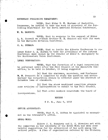#### SECRETARY PUBLISHING DEPARTMENT:

VOTED, That Elder W. W. Eastman of Nashville, Tennessee, be invited to take the work of secretary of the Publishing Department for the North American Division Conference.

W. E. HANCOCK:

VOTED, That in response to the request'of Elder L. R. Conradi we release Brother W. E. Hancock and wife for work in the European Division Conference.

C. A. BURMAN:

VOTED, That we invite the Alberta Conference to release Elder C. A. Burman to take the presidency of the Indiana Conference made vacant by the removal of Elder O. Montgomery to the Southeastern Union Conference.

LEGAL CORPORATION:

VOTED, That the formation of a legal Corporation be postponed until after the Fall Council of the Executive Committee, to be held in October, it being suggested

(a) That the chairman, 'secretary, and Professor.  $\Psi$ .  $\Psi$ . Prescott be a committee to study the question and advise whether the corporation should be effected under the District of Columbia laws or elsewhere.

(b) That the above mentioned committee prepare some articles of incorporation to submit to the Fall Council.

(c) That seven members constitute the board of incorporators.

#### RECESS '

2 P. M., Juno 9, 1913

OFFICE ACCOUNTANT:

VOTED; That H. H. Cobban be appointed as accountant in the treasurer's office.

NEGRO WORK:

Elders J. H. Humphrey and M. C. Strachan met with the committee in the interests of the Nebro Work and made some helpful suggestions for the advancement of the work among the colored people. A Plan of organization referred by the Division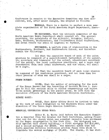Conference in session to the Executive Committee was then considered, and, after minor changes, was adopted as follows:

WHEREAS, There is a desire to perfect a more complete organization of the North American Negro Department; therefore,

WE RECOMMEND, That the advisory committee of the North American Negro Department shall consist of: The general secretary, the presidents of the Atlantic', Columbia, Central, Lake, Southern, Southeastern, and Eouthwestern Union Conferences, and seven others who shall be negroes; we further,

RECOMMEND, A uniform plan of organization in the Southeastern, Southern, and Southwestern Unions, and therefore submit the following:

(a) That the oxecutive board of each of the union missions be composed of a superintendent (president of the union), the secretary and treasurer (of the union), "educational secretary (of the union), the local conference presidents, and a negro  $rep$ resentative from each local conference, and one other, who shall be a negro.

(b) That the executive board of each local mission be composed of the conference president, and not less than two other persons of whom ono shall be a negro.

PRESS BUREAU:

VOTED, That the matter of arranging for the work of the Press Bureau and the traveling of Brother Walter L. Burgan to fill the various calls to attend campmeetings and report those. annual gatherings in the public press, be left with the executive officers of the North American Division Conference.

SIDNEY SCOTT:

VOTED, That Elder Sidney Scott be invited to take up the work of union evangelist in the Southern Union under the direction of the Union Negro Mission Committee.

MEMORIAL CONCERNING NEGRO WORK:

Elder Vi, B. White laid before the Executive Committee a memorial from the Greater Now York Conference, asking financial aid for the church Which has somewhat recently been purchased by the Negro congregation in New York City, Two mortgages are held against this church building, - a first mortgage for \$16,000, and a second mortgage for \$3400. The memorial asked that the North American Division Conforence provide funds with which to liquidate the second mortgage of  $$3,400$ . The church, it was stat-

14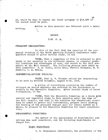ed, would be able to handle the first mortgage of \$16,000 if the second.could be paid.

Adtion on this memorial was deferred until a later

15

**Original** 

meeting.

## RECESS

#### 7:30 P, M.

#### PERMANENT HEADQUARTERS:

In view of the fact that the question, of the permanent location of the North American Division Conference headquarters should be given careful study, it was

VOTED, That a committee of five be' selected to give study to the question in its different phases, to consider probable locations and advantages, of each, and report to the full committee at the Fall Council. The following persons were named as this committee: 0.7A, Olsen, Allen Moon, Charles Thompson, E. T. Russell, I. H. Evans,

#### CANPMEETINQ,BRITISH COLUMBIA:

VOTED, That L. V. Finster attond the campmeeting to be held. in British Columbia, August 4-10, 1913.

A series of resolutions concerning the number of colleges we Should maintain was referred by the conference in session to the Executive Committee. After careful study of these resolutions, it. was

VOTED, That the Executive Committee as a whole give earnest and impartial study to this question until the time of the fall council, and that in the meantime the educational secretary be asked to gather full information, prepare facts showing the bearing of the proposed changes upon our school system as a whole, to present to the Executive Committee for their consideration.

#### DEPARTMENTAL COMMITTEES:

The matter of the appointment of departmental committees was next considered, and the following departments arranged for:

Negro Department

C. B. Stephenson (secretary), the presidents of the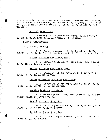Atlantic, Columbia, Southeastern, Southern, Southwestern, Contral, and Lake Union Conferences, and Elders J. H. Humphrey, J. M. Campbell, J. Manns, Sidney Scott, W. H. Green, C. F. Lightner, U. S.' Willess.

## Medical Department

Doctors H. W. Miller (secretary), G. H. Heald, W. E. Bliss, W. B. Holden, H. A. Green, L. A. Hansen.

FOREIGN DEPARTMENTS:

## General Foreign

O. A. Olsen (chairman), L. H. Christian, J. H. Schilling, G. F. Haffner, S. Mortenson, F. C. Gilbert, G, G. Roth.

## Gorman Advisory Committee, West

G. F. Haffner (secretary), Carl Leer, John Isaac, J. F. Simon, G. A. Grauer.

German Advisory Committee, East

J. H. Schilling (secretary), B. E. Miller, C, W. Weber, G. P. Gaede, David Voth.

## Danish-Norwegian Advisory Committee'

L. H. Christian (secretary), Louis Johnson, M. S. Heppe, C. A. Thorpe, P. E. Brotherson.

Swedish Advisory Committee'

S. Mortenson (secretary), Fred Johnson, G. E. Nord, August Anderson, Carl SVenson.

French Advisory Committee

G. G. Roth (superintendent), L. F. Passebois, R. D. Quinn, J. Vuilleumier, H. C. Hartwell.

Jewish Advisoty Committee

F. C. Gilbert (superintendent), R. D. Quinn, H. C. Hartwell, B. F. Machlan.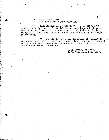## North American Division Missionary Volunteer Department

Matilda Erickson (secretary), M. E. Kern, Meade MacGuire, C. L. Benson, H. R. Salisbury, Mrs. Fannie D. Chase, Mrs. L. Flora Plummer, L. H. Christian, J. J. Reiswig, C, J. Boyd,, G. E. Nord, and all union conference Missionary Volunteer secretaries.

The secretaries of other departmental committees not being prepared to report their committees, they were referred to the executive,officers of the North American Division and the General Conference Committees.

> I. H. Evans, Chairman, G. B. Thompson, Secretary.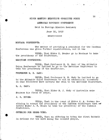# NINTH MEETING EXECUTIVE COMMITTEE NORTH

## AMERICAN DIVISION CONFERENCE

Held in Foreign Mission Seminary

# June 10, 1913

\*\*\*\*\*\*\*\*\*\*

MONTANA CONFERENCE:

The matter of providing a president for the Montana Conference was given further consideration, and it was

VOTED, That Elder U. Bender gp to Montana to, take the presidency of the Conferenco.

MARITIME CONFERENCE:

VOTED, That Professor M. M. Hare of the Atlantic Union Conferende be invited to go to the Maritime Conference to take the presidency of the Conference.

PROFESSOR M. E. CADY:

VOTED, That Professor M. E. Cady be invited to go to the Atlantic Union Conference to act as educational secretary in case Professor Hare accepts the call to the Maritime Conference.

B. J. CADY:

VOTED, That Elder B. J. Cady of Australia make Montana his field of labor,

J. S. ROUSE:

VOTED, That in the event of Elder C. A. Burman declining to accept the presidency of the Indiana Conference that we invite Elder J. S. Rouse to take the presidency of the Indiana Conferonce.

OFFERING FOR NEGRO WORK:

VOTED, That an offering be taken the first Sabbath in October for the work among the colored people.

10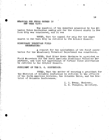# MEMORIAL FOR NEGRO CHUREH IN NEW YOOK CITY:

The question of the memorial presented by the Atlantic Union Conference asking aid for the colored church in New York City was considered, and it was

VOTED, That the appeal for help for the negro church in New York City be referred to the October Council.

# MISSIONARY VOLUNTEER FIELD SECRETARIES:

A request for the appointment of two field secretaries for the Missionary Volunteer Department was considered.

VOTED, That Elder Meade MacGuire be appointed as Field Secretary for the North American Missionary Volunteer Department, and, that the appointment of further field secretaries be referred to the October Council.

PRESIDENT OF THE D. C. CONFERENCE:

VOTED, That tho matter of securing a president for the District of Columbia Conference be referred to the officers of the North American Division, the Columbia Union, and the District of Columbia Conferences.

> I. H. Evans, Chairman, G. B. Thompson, Secretary.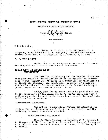#### TENTH MEETING EXECUTIVE COMMITTEE NORTH

#### AMERICAN DIVISION CONFERENCE,

# June 14, 1913 General Conference Office 7:30 P. M.

#### \*\*\*\*\*\*\*\*\*

PRESENT:

I. H. Evans, W. T. Knox, B. G. Wilkinson, C. S. Longacre, W. W. Prescott, G. B. Thompson; from the General Conferonce Committee, A. G. Daniells, W. A. Spicer, N. Z. Town.

S. M. KONIGMACHER:

VOTED, That S. M. Konigmacher be invited to attend the campmeetings in the Columbia Union Conference.

## INSTRUCTION IN REFERENCE TO CAMPMEETINGS:

.The question of printing for the benefit of conference presidents and others the matter on the conduct and improvement of our campmeetings prepared by a committee, of which Elder F. M. Wilcox was chairman, was considered. A number of conference presidents and other delegates present at the General Conference having requested that this be printed, it was

VOTED, That two thousand copies be printed and sent to the presidents of all union and local conferences, and that a sufficient number be sent to the local tract society to supply all lodal conference workers.

#### DEPARTMENTAL COMMITTEES:,

The matter of appointing further departmental committees for the North American Division was considered, and the following advisory committees selected:

## Sabbath-school Department

Mrs. L. Flora Plummer (secretary), W. A. Spicer, G. B. Thompson, W. W. Prescott, M. C. Wilcox, Mrs. Vesta J. Farnsworth, F. M. Wilcox, Mrs. Fannie D. Chase, T. E. Bowen, C. C. Lewis, W. E. Howell.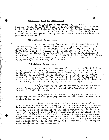## Religious Liberty Department

C. S. Longacro (secretary), K. C. Russell, J. 0. Corliss, Allen Moon, W. M. Healey, G. B. Thompson, W. A. Colcord, D. W. Reatis, F. M. Wilcox, C. M. Snow, A. J. S. Bourdeau, W. A. -Spicer, W. L. Burgan, C. E. Holmes, A. J. Clark, Loon Caviness, and all union religious liberty secretaries of the North American Division Conference.

## Educational Department

H. R. Salisbury (secretary), W. E. Howell,(Assistant secretary), C. C. Lewis, Frederick Griggs, M. E. Kern, C. W. Irwin, 0. J. Graf, E. C. Kellogg, E. G. Salisbury, N. E. Cady, W. W. Ruble, M. B. Van Kirk, J. I. Beardsley, R. G. Ryan, C. B. Hughes, H. M. Hiatt, C. A. Russell, M. M. Hare, B. F. Machlan, E. A. Sutherland, C. L. Stone, C. J. Boyd; M. E. Olson, Sarah E. Pock, J. F. Simon, M. L. Andreason, G. E. Nord, H. G. Lucas, J. L. Kay, J. B. White, S. M. Butler, W. E. Straw.

## Publishing Department

W. W. Eastman (secretary), N. Z. Town, W. C. White, H. H. Hall, G. C. Hoskin, L. W. Graham, J. W. Mace, I. A. Ford, ' D. W. Reavis, A. J. S. Bourdeau, S. N. Curtis, J. F. Beatty, J. M. Rowse, R. L. Pierce, L. D. Randall, C. J. Tolf, I. D. Richardson, J. D. Blosser, A. F. Harrison, B. E. Cole, C. G. Bellah, F. E. Painter, W. R. Beatty, A. A. Cone, W. L. Manful, E. R. Palmer, C. H. JOnes, R. Hook, F. F. Byington, B. B. Noftsger.

VOTED, That an assistant secretary of the Sabbathschool Department be secured to connect with the department by October 1, 1913, if possible.

VOTED, That W. E. Howell be appointed assistant secretary of the Educational Department of the North American Division Conference.

VOTED, That we approve in a general way, of the plan submitted by Walter L. Burgan, of the Press Bureau, of securing from persons in the field, concise, well written synopses<sup>of</sup> sermons to be sent to ministers and other workers in the field as material to assist them in the preparation of the outlines of sermons for publication in the public press. A local committee was suggested to counsel with Brother Burgan from time to time concerning the matter which may be sent out, and such other questions as may be necessary. W. W. Prescott, C. S. Longacre, G. B. Thompson, were appointed as this committee.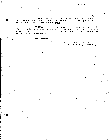VOTED, That we invite the Southern California Conference to release Elder A. S. Booth to take the presidency of the District of Columbia Conference.

VOTED, That the selection of a bank, through which the financial business of the North American Division Conference shall be conducted, be left with the officers of the North American Division Conference.

Adjourned,

I. H. Etans, Chairman, G. B.'Thompson, Secretary.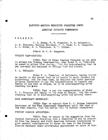## ELEVENTH MEETING EXECUTIVE COMMITTEE NORTH

## AMERICAN DIVISION CONFERENCE-

#### \*\*\*\*\*\*\*\*\*\*\*\*

PRESENT:

I. H. Evans, W. W. Prescott, H. R. Salisbury, G. B. Thompson, Matilda Erickson, W. T. Knox, C. S. Longacre, L. M. Bowen, B. G. Wilkinson, H. V. Miller.

Prayer by C. S. Longacre.

## WYOMING CAMP-HEETING:

VOTED: That if Elder Charles Thompson is not able to attend the Wyoming Camp-meeting, that Elder B. G. Wilkinson be asked to attend this meeting, with the understanding that we pay one-half his expenses to College View and return.

T. L. THEUMLER:

Elder T. L. Wheumler, of Baltimore, having failed in health to the extent that he is unable to carry forward his ministerial "ork for some time, he requests the North American Division Conference to pay the transportation of himself and family to his farm in Oregon, he to be self-supporting after reaching his home.

VOTED: That we pay the transportation of Elder T. L. Theunler and family to his home in Oregon, with the understanding that he be self-supporting after his arrival there.

#### HOME MISSIONARY SECRETARY:

VOTED: That we appoint Miss E. H. Graham temporary Secretary of the Home Missionary Department until the time of the Fall Council, when the matter will be further considered.

FOREIGN MISSION APPOINTEES:

VOTED: That we concur in the suggestion from the General Conference Committee that a Committee of six be selected from the General and Horth American Division Conferences to give careful consideration to those who come to the Foreign Mission Seminary under 'provisional appointment to labor in for-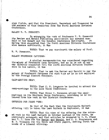eign fields, and that the President, Secretary and Treasurer be the members of this Committee from the North American Division Conference.

## SALARY W. W. PRESCOTT:

In arranging the work of Professor  $F$ . W. Prescott the Review and Herald Publishing Association has assumed one-half of his salary and the General Conference one-fourth. It half of his salary and the General Conference one-fourth. having been suggested that the North American Division Conference also assume one-fourth, it Gas

VOTED: That we pay one-fourth the salary of Prof. W. V.-Prescott.

# SALARY PROFESSOR CAVINESS:

A similar recommendation was considered regarding the salary of Professor Leon Caviness, but as he is not in any way directly-connected with the North American Division Conference in his labors, it was

VOTED: That-we 'ask the Review and Herald to pay the salary of Professor Caviness for such time as he is not employed by the Foreign Mission Seminary.

CAMP-MEETING HELP:

VOTED: That C. S. Longaore be invited to attend the camp-meetings in the Lake Union Conference.

VOTED: That Elder C. Sorenson attend the campmeetings in the Southern Union Conference, providing he is released from his work in the District-Conference.

OFFERING FOR NEGRO FORK:

In view of the fact that the thirteenth Sabbath offering will be taken the last Sabbath in September, it was

VOTED: That the time of the offering for the colored work be the last Sabbath in October instead of the first, as previously arranged; and that articles be prepared by I. H. Evans and  $\overline{v}$ . T. Knox for the Review and Herald, and C. B. Stephenson and B..Thompson for the Union and,State papers, setting forth the needs of a liberal offering.